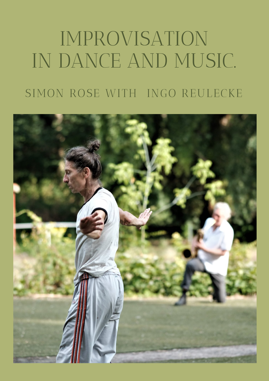# IMPROVISATION IN DANCE AND MUSIC. SIMON ROSE WITH INGO REULECKE

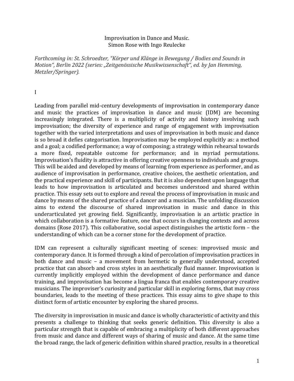#### Improvisation in Dance and Music. Simon Rose with Ingo Reulecke

*Forthcoming in: St. Schroedter, "Körper und Klänge in Bewegung / Bodies and Sounds in Motion", Berlin 2022 (series: "Zeitgenössische Musikwissenschaft", ed. by Jan Hemming, Metzler/Springer).*

I

Leading from parallel mid-century developments of improvisation in contemporary dance and music the practices of improvisation in dance and music (IDM) are becoming increasingly integrated. There is a multiplicity of activity and history involving such improvisation; the diversity of experience and range of engagement with improvisation together with the varied interpretations and uses of improvisation in both music and dance is so broad it defies categorisation. Improvisation may be employed explicitly as: a method and a goal; a codified performance; a way of composing; a strategy within rehearsal towards a more fixed, repeatable outcome for performance; and in myriad permutations. Improvisation's fluidity is attractive in offering creative openness to individuals and groups. This will be aided and developed by means of learning from experience as performer, and as audience of improvisation in performance, creative choices, the aesthetic orientation, and the practical experience and skill of participants. But it is also dependent upon language that leads to how improvisation is articulated and becomes understood and shared within practice. This essay sets out to explore and reveal the process of improvisation in music and dance by means of the shared practice of a dancer and a musician. The unfolding discussion aims to extend the discourse of shared improvisation in music and dance in this underarticulated yet growing field. Significantly, improvisation is an artistic practice in which collaboration is a formative feature, one that occurs in changing contexts and across domains (Rose 2017). This collaborative, social aspect distinguishes the artistic form – the understanding of which can be a corner stone for the development of practice.

IDM can represent a culturally significant meeting of scenes: improvised music and contemporary dance. It is formed through a kind of percolation of improvisation practices in both dance and music – a movement from hermetic to generally understood, accepted practice that can absorb and cross styles in an aesthetically fluid manner. Improvisation is currently implicitly employed within the development of dance performance and dance training, and improvisation has become a lingua franca that enables contemporary creative musicians. The improviser's curiosity and particular skill in exploring forms, that may cross boundaries, leads to the meeting of these practices. This essay aims to give shape to this distinct form of artistic encounter by exploring the shared process.

The diversity in improvisation in music and dance is wholly characteristic of activity and this presents a challenge to thinking that seeks generic definition. This diversity is also a particular strength that is capable of embracing a multiplicity of both different approaches from music and dance and different ways of sharing of music and dance. At the same time the broad range, the lack of generic definition within shared practice, results in a theoretical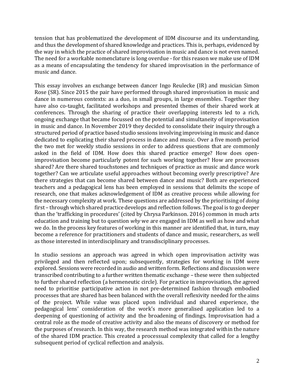tension that has problematized the development of IDM discourse and its understanding, and thus the development of shared knowledge and practices. This is, perhaps, evidenced by the way in which the practice of shared improvisation in music and dance is not even named. The need for a workable nomenclature is long overdue - for this reason we make use of IDM as a means of encapsulating the tendency for shared improvisation in the performance of music and dance.

This essay involves an exchange between dancer Ingo Reulecke (IR) and musician Simon Rose (SR). Since 2015 the pair have performed through shared improvisation in music and dance in numerous contexts: as a duo, in small groups, in large ensembles. Together they have also co-taught, facilitated workshops and presented themes of their shared work at conferences. Through the sharing of practice their overlapping interests led to a rich, ongoing exchange that became focussed on the potential and simultaneity of improvisation in music and dance. In November 2019 they decided to consolidate their inquiry through a structured period of practice based studio sessions involving improvising in music and dance dedicated to explicating their shared process in dance and music. Over a five month period the two met for weekly studio sessions in order to address questions that are commonly asked in the field of IDM. How does this shared practice emerge? How does openimprovisation become particularly potent for such working together? How are processes shared? Are there shared touchstones and techniques of practice as music and dance work together? Can we articulate useful approaches without becoming overly prescriptive? Are there strategies that can become shared between dance and music? Both are experienced teachers and a pedagogical lens has been employed in sessions that delimits the scope of research, one that makes acknowledgement of IDM as creative process while allowing for the necessary complexity at work. These questions are addressed by the prioritising of *doing* first – through which shared practice develops and reflection follows. The goal is to go deeper than the 'trafficking in procedures' (cited by Chrysa Parkinson. 2016) common in much arts education and training but to question *why* we are engaged in IDM as well as how and what we do. In the process key features of working in this manner are identified that, in turn, may become a reference for practitioners and students of dance and music, researchers, as well as those interested in interdisciplinary and transdisciplinary processes.

In studio sessions an approach was agreed in which open improvisation activity was privileged and then reflected upon; subsequently, strategies for working in IDM were explored. Sessions were recorded in audio and written form. Reflections and discussion were transcribed contributing to a further written thematic exchange – these were then subjected to further shared reflection (a hermeneutic circle). For practice in improvisation, the agreed need to prioritise participative action in not pre-determined fashion through embodied processes that are shared has been balanced with the overall reflexivity needed for the aims of the project. While value was placed upon individual and shared experience, the pedagogical lens' consideration of the work's more generalised application led to a deepening of questioning of activity and the broadening of findings. Improvisation had a central role as the mode of creative activity and also the means of discovery or method for the purposes of research. In this way, the research method was integrated within the nature of the shared IDM practice. This created a processual complexity that called for a lengthy subsequent period of cyclical reflection and analysis.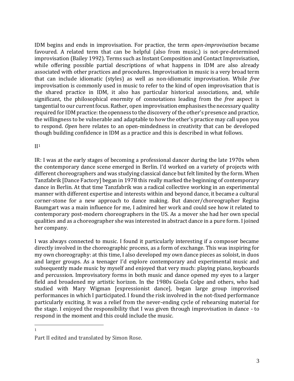IDM begins and ends in improvisation. For practice, the term *open-improvisation* became favoured. A related term that can be helpful (also from music,) is not-pre-determined improvisation (Bailey 1992). Terms such as Instant Composition and Contact Improvisation, while offering possible partial descriptions of what happens in IDM are also already associated with other practices and procedures. Improvisation in music is a very broad term that can include idiomatic (styles) as well as non-idiomatic improvisation. While *free* improvisation is commonly used in music to refer to the kind of open improvisation that is the shared practice in IDM, it also has particular historical associations, and, while significant, the philosophical enormity of connotations leading from the *free* aspect is tangential to our current focus. Rather, open improvisation emphasises the necessary quality required for IDM practice: the openness to the discovery of the other's presence and practice, the willingness to be vulnerable and adaptable to how the other's practice may call upon you to respond. *Open* here relates to an open-mindedness in creativity that can be developed though building confidence in IDM as a practice and this is described in what follows.

## $II<sup>1</sup>$

IR: I was at the early stages of becoming a professional dancer during the late 1970s when the contemporary dance scene emerged in Berlin. I'd worked on a variety of projects with different choreographers and was studying classical dance but felt limited by the form. When Tanzfabrik [Dance Factory] began in 1978 this really marked the beginning of contemporary dance in Berlin. At that time Tanzfabrik was a radical collective working in an experimental manner with different expertise and interests within and beyond dance, it became a cultural corner-stone for a new approach to dance making. But dancer/choreographer Regina Baumgart was a main influence for me, I admired her work and could see how it related to contemporary post-modern choreographers in the US. As a mover she had her own special qualities and as a choreographer she was interested in abstract dance in a pure form. I joined her company.

I was always connected to music. I found it particularly interesting if a composer became directly involved in the choreographic process, as a form of exchange. This was inspiring for my own choreography: at this time, I also developed my own dance pieces as soloist, in duos and larger groups. As a teenager I'd explore contemporary and experimental music and subsequently made music by myself and enjoyed that very much: playing piano, keyboards and percussion. Improvisatory forms in both music and dance opened my eyes to a larger field and broadened my artistic horizon. In the 1980s Gisela Colpe and others, who had studied with Mary Wigman [expressionist dance], began large group improvised performances in which I participated. I found the risk involved in the not-fixed performance particularly exciting. It was a relief from the never-ending cycle of rehearsing material for the stage. I enjoyed the responsibility that I was given through improvisation in dance - to respond in the moment and this could include the music.

<sup>1</sup>

Part II edited and translated by Simon Rose.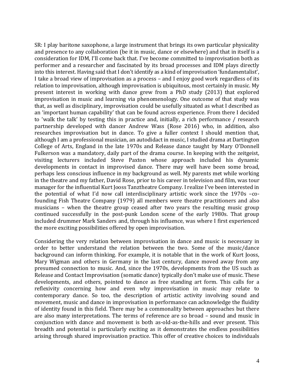SR: I play baritone saxophone, a large instrument that brings its own particular physicality and presence to any collaboration (be it in music, dance or elsewhere) and that in itself is a consideration for IDM, I'll come back that. I've become committed to improvisation both as performer and a researcher and fascinated by its broad processes and IDM plays directly into this interest. Having said that I don't identify as a kind of improvisation 'fundamentalist', I take a broad view of improvisation as a process – and I enjoy good work regardless of its relation to improvisation, although improvisation is ubiquitous, most certainly in music. My present interest in working with dance grew from a PhD study (2013) that explored improvisation in music and learning via phenomenology. One outcome of that study was that, as well as disciplinary, improvisation could be usefully situated as what I described as an 'important human capability' that can be found across experience. From there I decided to 'walk the talk' by testing this in practice and, initially, a rich performance / research partnership developed with dancer Andrew Wass (Rose 2016) who, in addition, also researches improvisation but in dance. To give a fuller context I should mention that, although I am a professional musician, an autodidact in music, I studied drama at Dartington College of Arts, England in the late 1970s and Release dance taught by Mary O'Donnell Fulkerson was a mandatory, daily part of the drama course. In keeping with the zeitgeist, visiting lecturers included Steve Paxton whose approach included his dynamic developments in contact in improvised dance. There may well have been some broad, perhaps less conscious influence in my background as well. My parents met while working in the theatre and my father, David Rose, prior to his career in television and film, was tour manager for the influential Kurt Jooss Tanztheatre Company. I realize I've been interested in the potential of what I'd now call interdisciplinary artistic work since the 1970s –cofounding Fish Theatre Company (1979) all members were theatre practitioners and also musicians – when the theatre group ceased after two years the resulting music group continued successfully in the post-punk London scene of the early 1980s. That group included drummer Mark Sanders and, through his influence, was where I first experienced the more exciting possibilities offered by open improvisation.

Considering the very relation between improvisation in dance and music is necessary in order to better understand the relation between the two. Some of the music/dance background can inform thinking. For example, it is notable that in the work of Kurt Jooss, Mary Wigman and others in Germany in the last century, dance moved away from any presumed connection to music. And, since the 1970s, developments from the US such as Release and Contact Improvisation (somatic dance) typically don't make use of music. These developments, and others, pointed to dance as free standing art form. This calls for a reflexivity concerning how and even why improvisation in music may relate to contemporary dance. So too, the description of artistic activity involving sound and movement, music and dance in improvisation in performance can acknowledge the fluidity of identity found in this field. There may be a commonality between approaches but there are also many interpretations. The terms of reference are so broad – sound and music in conjunction with dance and movement is both as-old-as-the-hills and ever present. This breadth and potential is particularly exciting as it demonstrates the endless possibilities arising through shared improvisation practice. This offer of creative choices to individuals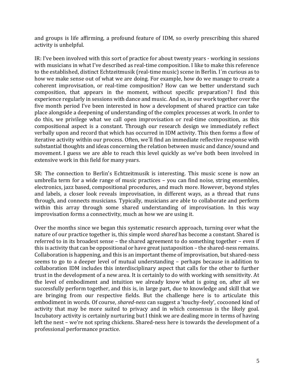and groups is life affirming, a profound feature of IDM, so overly prescribing this shared activity is unhelpful.

IR: I've been involved with this sort of practice for about twenty years - working in sessions with musicians in what I've described as real-time composition. I like to make this reference to the established, distinct Echtzeitmusik (real-time music) scene in Berlin. I´m curious as to how we make sense out of what we are doing. For example, how do we manage to create a coherent improvisation, or real-time composition? How can we better understand such composition, that appears in the moment, without specific preparation? I find this experience regularly in sessions with dance and music. And so, in our work together over the five month period I've been interested in how a development of shared practice can take place alongside a deepening of understanding of the complex processes at work. In order to do this, we privilege what we call open improvisation or real-time composition, as this compositional aspect is a constant. Through our research design we immediately reflect verbally upon and record that which has occurred in IDM activity. This then forms a flow of iterative activity within our process. Often, we´ll find an immediate reflective response with substantial thoughts and ideas concerning the relation between music and dance/sound and movement. I guess we are able to reach this level quickly as we've both been involved in extensive work in this field for many years.

SR: The connection to Berlin's Echtzeitmusik is interesting. This music scene is now an umbrella term for a wide range of music practices – you can find noise, string ensembles, electronics, jazz based, compositional procedures, and much more. However, beyond styles and labels, a closer look reveals improvisation, in different ways, as a thread that runs through, and connects musicians. Typically, musicians are able to collaborate and perform within this array through some shared understanding of improvisation. In this way improvisation forms a connectivity, much as how we are using it.

Over the months since we began this systematic research approach, turning over what the nature of our practice together is, this simple word *shared* has become a constant. Shared is referred to in its broadest sense – the shared agreement to do something together – even if this is activity that can be oppositional or have great juxtaposition – the shared-ness remains. Collaboration is happening, and this is an important theme of improvisation, but shared-ness seems to go to a deeper level of mutual understanding – perhaps because in addition to collaboration IDM includes this interdisciplinary aspect that calls for the other to further trust in the development of a new area. It is certainly to do with working with sensitivity. At the level of embodiment and intuition we already know what is going on, after all we successfully perform together, and this is, in large part, due to knowledge and skill that we are bringing from our respective fields. But the challenge here is to articulate this embodiment in words. Of course, *shared-ness* can suggest a 'touchy-feely', cocooned kind of activity that may be more suited to privacy and in which consensus is the likely goal. Incubatory activity is certainly nurturing but I think we are dealing more in terms of having left the nest – we're not spring chickens. Shared-ness here is towards the development of a professional performance practice.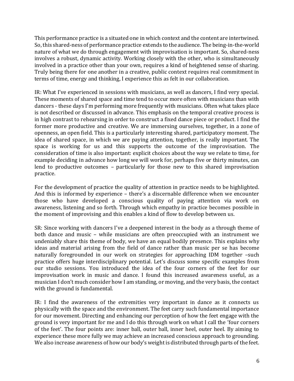This performance practice is a situated one in which context and the content are intertwined. So, this shared-ness of performance practice extends to the audience. The being-in-the-world nature of what we do through engagement with improvisation is important. So, shared-ness involves a robust, dynamic activity. Working closely with the other, who is simultaneously involved in a practice other than your own, requires a kind of heightened sense of sharing. Truly being there for one another in a creative, public context requires real commitment in terms of time, energy and thinking, I experience this as felt in our collaboration.

IR: What I've experienced in sessions with musicians, as well as dancers, I find very special. These moments of shared space and time tend to occur more often with musicians than with dancers - these days I'm performing more frequently with musicians. Often what takes place is not described or discussed in advance. This emphasis on the temporal creative process is in high contrast to rehearsing in order to construct a fixed dance piece or product. I find the former more productive and creative. We are immersing ourselves, together, in a zone of openness, an open field. This is a particularly interesting shared, participatory moment. The idea of shared space, in which we are paying attention, together, is really important. The space is working for us and this supports the outcome of the improvisation. The consideration of time is also important: explicit choices about the way we relate to time, for example deciding in advance how long we will work for, perhaps five or thirty minutes, can lend to productive outcomes – particularly for those new to this shared improvisation practice.

For the development of practice the quality of attention in practice needs to be highlighted. And this is informed by experience – there's a discernable difference when we encounter those who have developed a conscious quality of paying attention via work on awareness, listening and so forth. Through which empathy in practice becomes possible in the moment of improvising and this enables a kind of flow to develop between us.

SR: Since working with dancers I've a deepened interest in the body as a through theme of both dance and music – while musicians are often preoccupied with an instrument we undeniably share this theme of body, we have an equal bodily presence. This explains why ideas and material arising from the field of dance rather than music per se has become naturally foregrounded in our work on strategies for approaching IDM together –such practice offers huge interdisciplinary potential. Let's discuss some specific examples from our studio sessions. You introduced the idea of the four corners of the feet for our improvisation work in music and dance. I found this increased awareness useful, as a musician I don't much consider how I am standing, or moving, and the very basis, the contact with the ground is fundamental.

IR: I find the awareness of the extremities very important in dance as it connects us physically with the space and the environment. The feet carry such fundamental importance for our movement. Directing and enhancing our perception of how the feet engage with the ground is very important for me and I do this through work on what I call the 'four corners of the feet'. The four points are: inner ball, outer ball, inner heel, outer heel. By aiming to experience these more fully we may achieve an increased conscious approach to grounding. We also increase awareness of how our body's weight is distributed through parts of the feet.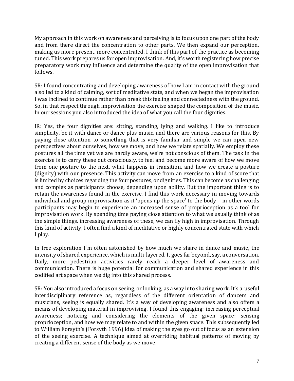My approach in this work on awareness and perceiving is to focus upon one part of the body and from there direct the concentration to other parts. We then expand our perception, making us more present, more concentrated. I think of this part of the practice as becoming tuned. This work prepares us for open improvisation. And, it's worth registering how precise preparatory work may influence and determine the quality of the open improvisation that follows.

SR: I found concentrating and developing awareness of how I am in contact with the ground also led to a kind of calming, sort of meditative state, and when we began the improvisation I was inclined to continue rather than break this feeling and connectedness with the ground. So, in that respect through improvisation the exercise shaped the composition of the music. In our sessions you also introduced the idea of what you call the four dignities.

IR: Yes, the four dignities are: sitting, standing, lying and walking. I like to introduce simplicity, be it with dance or dance plus music, and there are various reasons for this. By paying close attention to something that is very familiar and simple we can open new perspectives about ourselves, how we move, and how we relate spatially. We employ these postures all the time yet we are hardly aware, we're not conscious of them. The task in the exercise is to carry these out consciously, to feel and become more aware of how we move from one posture to the next, what happens in transition, and how we create a posture (dignity) with our presence. This activity can move from an exercise to a kind of score that is limited by choices regarding the four postures, or dignities. This can become as challenging and complex as participants choose, depending upon ability. But the important thing is to retain the awareness found in the exercise. I find this work necessary in moving towards individual and group improvisation as it 'opens up the space' to the body – in other words participants may begin to experience an increased sense of proprioception as a tool for improvisation work. By spending time paying close attention to what we usually think of as the simple things, increasing awareness of these, we can fly high in improvisation. Through this kind of activity, I often find a kind of meditative or highly concentrated state with which I play.

In free exploration I´m often astonished by how much we share in dance and music, the intensity of shared experience, which is multi-layered. It goes far beyond, say, a conversation. Daily, more pedestrian activities rarely reach a deeper level of awareness and communication. There is huge potential for communication and shared experience in this codified art space when we dig into this shared process.

SR: You also introduced a focus on seeing, or looking, as a way into sharing work. It's a useful interdisciplinary reference as, regardless of the different orientation of dancers and musicians, seeing is equally shared. It's a way of developing awareness and also offers a means of developing material in improvising. I found this engaging: increasing perceptual awareness; noticing and considering the elements of the given space; sensing proprioception, and how we may relate to and within the given space. This subsequently led to William Forsyth's (Forsyth 1996) idea of making the eyes go out of focus as an extension of the seeing exercise. A technique aimed at overriding habitual patterns of moving by creating a different sense of the body as we move.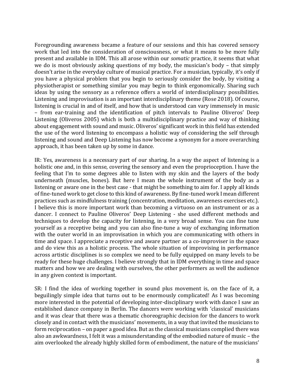Foregrounding awareness became a feature of our sessions and this has covered sensory work that led into the consideration of consciousness, or what it means to be more fully present and available in IDM. This all arose within our *somatic* practice, it seems that what we do is most obviously asking questions of my body, the musician's body – that simply doesn't arise in the everyday culture of musical practice. For a musician, typically, it's only if you have a physical problem that you begin to seriously consider the body, by visiting a physiotherapist or something similar you may begin to think ergonomically. Sharing such ideas by using the sensory as a reference offers a world of interdisciplinary possibilities. Listening and improvisation is an important interdisciplinary theme (Rose 2018). Of course, listening is crucial in and of itself, and how that is understood can vary immensely in music – from ear-training and the identification of pitch intervals to Pauline Oliveros' Deep Listening (Oliveros 2005) which is both a multidisciplinary practice and way of thinking about engagement with sound and music. Oliveros' significant work in this field has extended the use of the word listening to encompass a holistic way of considering the self through listening and sound and Deep Listening has now become a synonym for a more overarching approach, it has been taken up by some in dance.

IR: Yes, awareness is a necessary part of our sharing. In a way the aspect of listening is a holistic one and, in this sense, covering the sensory and even the proprioception. I have the feeling that I'm to some degrees able to listen with my skin and the layers of the body underneath (muscles, bones). But here I mean the whole instrument of the body as a listening or aware one in the best case - that might be something to aim for. I apply all kinds of fine-tuned work to get close to this kind of awareness. By fine-tuned work I mean different practices such as mindfulness training (concentration, meditation, awareness exercises etc.). I believe this is more important work than becoming a virtuoso on an instrument or as a dancer. I connect to Pauline Oliveros' Deep Listening - she used different methods and techniques to develop the capacity for listening, in a very broad sense. You can fine tune yourself as a receptive being and you can also fine-tune a way of exchanging information with the outer world in an improvisation in which you are communicating with others in time and space. I appreciate a receptive and aware partner as a co-improviser in the space and do view this as a holistic process. The whole situation of improvising in performance across artistic disciplines is so complex we need to be fully equipped on many levels to be ready for these huge challenges. I believe strongly that in IDM everything in time and space matters and how we are dealing with ourselves, the other performers as well the audience in any given context is important.

SR: I find the idea of working together in sound plus movement is, on the face of it, a beguilingly simple idea that turns out to be enormously complicated! As I was becoming more interested in the potential of developing inter-disciplinary work with dance I saw an established dance company in Berlin. The dancers were working with 'classical' musicians and it was clear that there was a thematic choreographic decision for the dancers to work closely and in contact with the musicians' movements, in a way that invited the musicians to form reciprocation – on paper a good idea. But as the classical musicians complied there was also an awkwardness, I felt it was a misunderstanding of the embodied nature of music – the aim overlooked the already highly skilled form of embodiment, the nature of the musicians'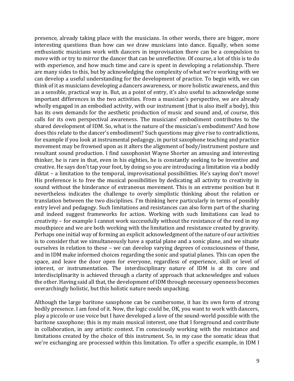presence, already taking place with the musicians. In other words, there are bigger, more interesting questions than how can we draw musicians into dance. Equally, when some enthusiastic musicians work with dancers in improvisation there can be a compulsion to move with or try to mirror the dancer that can be unreflective. Of course, a lot of this is to do with experience, and how much time and care is spent in developing a relationship. There are many sides to this, but by acknowledging the complexity of what we're working with we can develop a useful understanding for the development of practice. To begin with, we can think of it as musicians developing a dancers awareness, or more holistic awareness, and this as a sensible, practical way in. But, as a point of entry, it's also useful to acknowledge some important differences in the two activities. From a musician's perspective, we are already wholly engaged in an embodied activity, with our instrument (that is also itself a body), this has its own demands for the aesthetic production of music and sound and, of course, this calls for its own perspectival awareness. The musicians' embodiment contributes to the shared development of IDM. So, what is the nature of the musician's embodiment? And how does this relate to the dancer's embodiment? Such questions may give rise to contradictions, for example if you look at instrumental pedagogy, in purist saxophone teaching and practice movement may be frowned upon as it alters the alignment of body/instrument posture and resultant sound production. I find saxophonist Wayne Shorter an amusing and interesting thinker, he is rare in that, even in his eighties, he is constantly seeking to be inventive and creative. He says don't tap your foot, by doing so you are introducing a limitation via a bodily diktat – a limitation to the temporal, improvisational possibilities. He's saying don't move! His preference is to free the musical possibilities by dedicating all activity to creativity in sound without the hinderance of extraneous movement. This is an extreme position but it nevertheless indicates the challenge to overly simplistic thinking about the relation or translation between the two disciplines. I'm thinking here particularly in terms of possibly entry level and pedagogy. Such limitations and resistances can also form part of the sharing and indeed suggest frameworks for action. Working with such limitations can lead to creativity – for example I cannot work successfully without the resistance of the reed in my mouthpiece and we are both working with the limitation and resistance created by gravity. Perhaps one initial way of forming an explicit acknowledgment of the nature of our activities is to consider that we simultaneously have a spatial plane and a sonic plane, and we situate ourselves in relation to these – we can develop varying degrees of consciousness of these, and in IDM make informed choices regarding the sonic and spatial planes. This can open the space, and leave the door open for everyone, regardless of experience, skill or level of interest, or instrumentation. The interdisciplinary nature of IDM is at its core and interdisciplinarity is achieved through a clarity of approach that acknowledges and values the other.Having said all that, the development of IDM through necessary openness becomes overarchingly holistic, but this holistic nature needs unpacking.

Although the large baritone saxophone can be cumbersome, it has its own form of strong bodily presence. I am fond of it. Now, the logic could be, OK, you want to work with dancers, play a piccolo or use voice but I have developed a love of the sound-world possible with the baritone saxophone; this is my main musical interest, one that I foreground and contribute in collaboration, in any artistic context. I'm consciously working with the resistance and limitations created by the choice of this instrument. So, in my case the somatic ideas that we're exchanging are processed within this limitation. To offer a specific example, in IDM I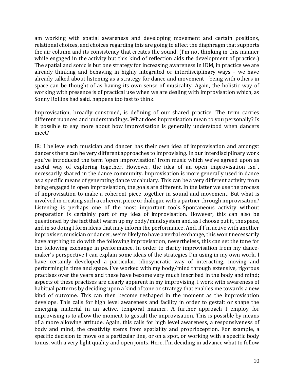am working with spatial awareness and developing movement and certain positions, relational choices, and choices regarding this are going to affect the diaphragm that supports the air column and its consistency that creates the sound. (I'm not thinking in this manner while engaged in the activity but this kind of reflection aids the development of practice.) The spatial and sonic is but one strategy for increasing awareness in IDM, in practice we are already thinking and behaving in highly integrated or interdisciplinary ways – we have already talked about listening as a strategy for dance and movement - being with others in space can be thought of as having its own sense of musicality. Again, the holistic way of working with presence is of practical use when we are dealing with improvisation which, as Sonny Rollins had said, happens too fast to think.

Improvisation, broadly construed, is defining of our shared practice. The term carries different nuances and understandings. What does improvisation mean to you personally? Is it possible to say more about how improvisation is generally understood when dancers meet?

IR: I believe each musician and dancer has their own idea of improvisation and amongst dancers there can be very different approaches to improvising. In our interdisciplinary work you've introduced the term 'open improvisation' from music which we've agreed upon as useful way of exploring together. However, the idea of an open improvisation isn´t necessarily shared in the dance community. Improvisation is more generally used in dance as a specific means of generating dance vocabulary. This can be a very different activity from being engaged in open improvisation, the goals are different. In the latter we use the process of improvisation to make a coherent piece together in sound and movement. But what is involved in creating such a coherent piece or dialogue with a partner through improvisation? Listening is perhaps one of the most important tools. Spontaneous activity without preparation is certainly part of my idea of improvisation. However, this can also be questioned by the fact that I warm up my body/mind system and, as I choose put it, the space, and in so doing I form ideas that may inform the performance. And, if I´m active with another improviser, musician or dancer, we're likely to have a verbal exchange, this won't necessarily have anything to do with the following improvisation, nevertheless, this can set the tone for the following exchange in performance. In order to clarify improvisation from my dancemaker's perspective I can explain some ideas of the strategies I´m using in my own work. I have certainly developed a particular, idiosyncratic way of interacting, moving and performing in time and space. I've worked with my body/mind through extensive, rigorous practises over the years and these have become very much inscribed in the body and mind; aspects of these practises are clearly apparent in my improvising. I work with awareness of habitual patterns by deciding upon a kind of tone or strategy that enables me towards a new kind of outcome. This can then become reshaped in the moment as the improvisation develops. This calls for high level awareness and facility in order to gestalt or shape the emerging material in an active, temporal manner. A further approach I employ for improvising is to allow the moment to gestalt the improvisation. This is possible by means of a more allowing attitude. Again, this calls for high level awareness, a responsiveness of body and mind, the creativity stems from spatiality and proprioception. For example, a specific decision to move on a particular line, or on a spot, or working with a specific body tonus, with a very light quality and open joints. Here, I'm deciding in advance what to follow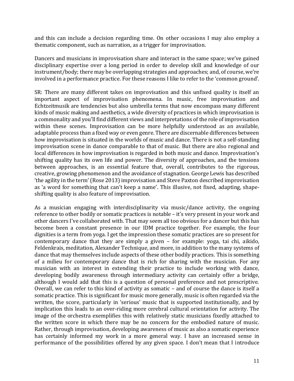and this can include a decision regarding time. On other occasions I may also employ a thematic component, such as narration, as a trigger for improvisation.

Dancers and musicians in improvisation share and interact in the same space; we've gained disciplinary expertise over a long period in order to develop skill and knowledge of our instrument/body; there may be overlapping strategies and approaches; and, of course, we're involved in a performance practice. For these reasons I like to refer to the 'common ground'.

SR: There are many different takes on improvisation and this unfixed quality is itself an important aspect of improvisation phenomena. In music, free improvisation and Echtzeitmusik are tendencies but also umbrella terms that now encompass many different kinds of music making and aesthetics, a wide diversity of practices in which improvisation is a commonality and you'll find different views and interpretations of the role of improvisation within these scenes. Improvisation can be more helpfully understood as an available, adaptable process than a fixed way or even genre. There are discernable differences between how improvisation is situated in the worlds of music and dance. There is not a self-standing improvisation scene in dance comparable to that of music. But there are also regional and local differences in how improvisation is regarded in both music and dance. Improvisation's shifting quality has its own life and power. The diversity of approaches, and the tensions between approaches, is an essential feature that, overall, contributes to the rigorous, creative, growing phenomenon and the avoidance of stagnation. George Lewis has described 'the agility in the term'(Rose 2013)improvisation and Steve Paxton described improvisation as 'a word for something that can't keep a name'. This illusive, not fixed, adapting, shapeshifting quality is also feature of improvisation.

As a musician engaging with interdisciplinarity via music/dance activity, the ongoing reference to other bodily or somatic practices is notable – it's very present in your work and other dancers I've collaborated with. That may seem all too obvious for a dancer but this has become been a constant presence in our IDM practice together. For example, the four dignities is a term from yoga. I get the impression these somatic practices are so present for contemporary dance that they are simply a given – for example: yoga, tai chi, aikido, Feldenkrais, meditation, Alexander Technique, and more, in addition to the many systems of dance that may themselves include aspects of these other bodily practices. This is something of a milieu for contemporary dance that is rich for sharing with the musician. For any musician with an interest in extending their practice to include working with dance, developing bodily awareness through intermediary activity can certainly offer a bridge, although I would add that this is a question of personal preference and not prescriptive. Overall, we can refer to this kind of activity as somatic – and of course the dance is itself a somatic practice. This is significant for music more generally, music is often regarded via the written, the score, particularly in 'serious' music that is supported institutionally, and by implication this leads to an over-riding more cerebral cultural orientation for activity. The image of the orchestra exemplifies this with relatively static musicians fixedly attached to the written score in which there may be no concern for the embodied nature of music. Rather, through improvisation, developing awareness of music as also a somatic experience has certainly informed my work in a more general way. I have an increased sense in performance of the possibilities offered by any given space. I don't mean that I introduce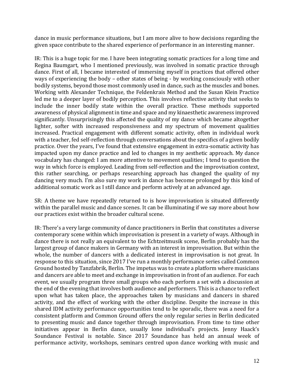dance in music performance situations, but I am more alive to how decisions regarding the given space contribute to the shared experience of performance in an interesting manner.

IR: This is a huge topic for me. I have been integrating somatic practices for a long time and Regina Baumgart, who I mentioned previously, was involved in somatic practice through dance. First of all, I became interested of immersing myself in practices that offered other ways of experiencing the body – other states of being - by working consciously with other bodily systems, beyond those most commonly used in dance, such as the muscles and bones. Working with Alexander Technique, the Feldenkrais Method and the Susan Klein Practice led me to a deeper layer of bodily perception. This involves reflective activity that seeks to include the inner bodily state within the overall practice. These methods supported awareness of physical alignment in time and space and my kinaesthetic awareness improved significantly. Unsurprisingly this affected the quality of my dance which became altogether lighter, softer with increased responsiveness and my spectrum of movement qualities increased. Practical engagement with different somatic activity, often in individual work with a teacher, fed self-reflection through conversations about the specifics of a given bodily practice. Over the years, I've found that extensive engagement in extra-somatic activity has impacted upon my dance practice and led to changes in my aesthetic approach. My dance vocabulary has changed: I am more attentive to movement qualities; I tend to question the way in which force is employed. Leading from self-reflection and the improvisation context, this rather searching, or perhaps researching approach has changed the quality of my dancing very much. I'm also sure my work in dance has become prolonged by this kind of additional somatic work as I still dance and perform actively at an advanced age.

SR: A theme we have repeatedly returned to is how improvisation is situated differently within the parallel music and dance scenes. It can be illuminating if we say more about how our practices exist within the broader cultural scene.

IR: There's a very large community of dance practitioners in Berlin that constitutes a diverse contemporary scene within which improvisation is present in a variety of ways. Although in dance there is not really an equivalent to the Echtzeitmusik scene, Berlin probably has the largest group of dance makers in Germany with an interest in improvisation. But within the whole, the number of dancers with a dedicated interest in improvisation is not great. In response to this situation, since 2017 I've run a monthly performance series called Common Ground hosted by Tanzfabrik, Berlin. The impetus was to create a platform where musicians and dancers are able to meet and exchange in improvisation in front of an audience. For each event, we usually program three small groups who each perform a set with a discussion at the end of the evening that involves both audience and performers. This is a chance to reflect upon what has taken place, the approaches taken by musicians and dancers in shared activity, and the effect of working with the other discipline. Despite the increase in this shared IDM activity performance opportunities tend to be sporadic, there was a need for a consistent platform and Common Ground offers the only regular series in Berlin dedicated to presenting music and dance together through improvisation. From time to time other initiatives appear in Berlin dance, usually lone individual's projects. Jenny Haack's Soundance Festival is notable. Since 2017 Soundance has held an annual week of performance activity, workshops, seminars centred upon dance working with music and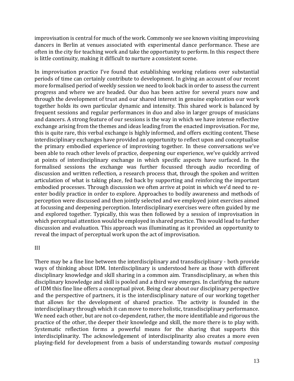improvisation is central for much of the work. Commonly we see known visiting improvising dancers in Berlin at venues associated with experimental dance performance. These are often in the city for teaching work and take the opportunity to perform. In this respect there is little continuity, making it difficult to nurture a consistent scene.

In improvisation practice I've found that establishing working relations over substantial periods of time can certainly contribute to development. In giving an account of our recent more formalised period of weekly session we need to look back in order to assess the current progress and where we are headed. Our duo has been active for several years now and through the development of trust and our shared interest in genuine exploration our work together holds its own particular dynamic and intensity. This shared work is balanced by frequent sessions and regular performances in duo and also in larger groups of musicians and dancers. A strong feature of our sessions is the way in which we have intense reflective exchange arising from the themes and ideas leading from the enacted improvisation. For me, this is quite rare, this verbal exchange is highly informed, and offers exciting content. These interdisciplinary exchanges have provided an opportunity to reflect upon and conceptualise the primary embodied experience of improvising together. In these conversations we've been able to reach other levels of practice, deepening our experience, we've quickly arrived at points of interdisciplinary exchange in which specific aspects have surfaced. In the formalised sessions the exchange was further focussed through audio recording of discussion and written reflection, a research process that, through the spoken and written articulation of what is taking place, fed back by supporting and reinforcing the important embodied processes. Through discussion we often arrive at point in which we'd need to reenter bodily practice in order to explore. Approaches to bodily awareness and methods of perception were discussed and then jointly selected and we employed joint exercises aimed at focussing and deepening perception. Interdisciplinary exercises were often guided by me and explored together. Typically, this was then followed by a session of improvisation in which perceptual attention would be employed in shared practice. This would lead to further discussion and evaluation. This approach was illuminating as it provided an opportunity to reveal the impact of perceptual work upon the act of improvisation.

## III

There may be a fine line between the interdisciplinary and transdisciplinary - both provide ways of thinking about IDM. Interdisciplinary is understood here as those with different disciplinary knowledge and skill sharing in a common aim. Transdisciplinary, as when this disciplinary knowledge and skill is pooled and a third way emerges. In clarifying the nature of IDM this fine line offers a conceptual pivot. Being clear about our disciplinary perspective and the perspective of partners, it is the interdisciplinary nature of our working together that allows for the development of shared practice. The activity is founded in the interdisciplinary through which it can move to more holistic, transdisciplinary performance. We need each other, but are not co-dependent, rather, the more identifiable and rigorous the practice of the other, the deeper their knowledge and skill, the more there is to play with. Systematic reflection forms a powerful means for the sharing that supports this interdisciplinarity. The acknowledgement of interdisciplinarity also creates a more even playing-field for development from a basis of understanding towards *mutual composing*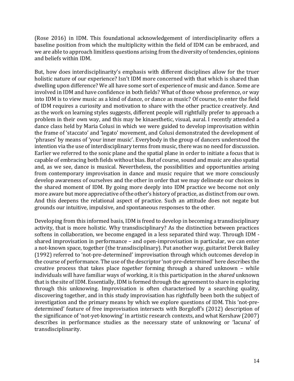(Rose 2016) in IDM. This foundational acknowledgement of interdisciplinarity offers a baseline position from which the multiplicity within the field of IDM can be embraced, and we are able to approach limitless questions arising from the diversity of tendencies, opinions and beliefs within IDM.

But, how does interdisciplinarity's emphasis with different disciplines allow for the truer holistic nature of our experience? Isn't IDM more concerned with that which is shared than dwelling upon difference? We all have some sort of experience of music and dance. Some are involved in IDM and have confidence in both fields? What of those whose preference, or way into IDM is to view music as a kind of dance, or dance as music? Of course, to enter the field of IDM requires a curiosity and motivation to share with the other practice creatively. And as the work on learning styles suggests, different people will rightfully prefer to approach a problem in their own way, and this may be kinaesthetic, visual, aural. I recently attended a dance class held by Maria Colusi in which we were guided to develop improvisation within the frame of 'staccato' and 'legato' movement, and Colusi demonstrated the development of 'phrases' by means of 'your inner music'. Everybody in the group of dancers understood the intention via the use of interdisciplinary terms from music, there was no need for discussion. Earlier we referred to the sonic plane and the spatial plane in order to initiate a focus that is capable of embracing both fields without bias. But of course, sound and music are also spatial and, as we see, dance is musical. Nevertheless, the possibilities and opportunities arising from contemporary improvisation in dance and music require that we more consciously develop awareness of ourselves and the other in order that we may delineate our choices in the shared moment of IDM. By going more deeply into IDM practice we become not only more aware but more appreciative of the other's history of practice, as distinct from our own. And this deepens the relational aspect of practice. Such an attitude does not negate but grounds our intuitive, impulsive, and spontaneous responses to the other.

Developing from this informed basis, IDM is freed to develop in becoming a transdisciplinary activity, that is more holistic. Why transdisciplinary? As the distinction between practices softens in collaboration, we become engaged in a less separated third way. Through IDM shared improvisation in performance – and open-improvisation in particular, we can enter a not-known space, together (the transdisciplinary). Put another way, guitarist Derek Bailey (1992) referred to 'not-pre-determined' improvisation through which outcomes develop in the course of performance. The use of the descriptor 'not-pre-determined' here describes the creative process that takes place *together* forming through a shared unknown – while individuals will have familiar ways of working, it is this participation in the *shared* unknown that is the site of IDM. Essentially, IDM is formed through the agreement to share in exploring through this unknowing. Improvisation is often characterised by a searching quality, discovering together, and in this study improvisation has rightfully been both the subject of investigation and the primary means by which we explore questions of IDM. This 'not-predetermined' feature of free improvisation intersects with Borgdoff's (2012) description of the significance of 'not-yet-knowing' in artistic research contexts, and what Kershaw (2007) describes in performance studies as the necessary state of unknowing or 'lacuna' of transdisciplinarity.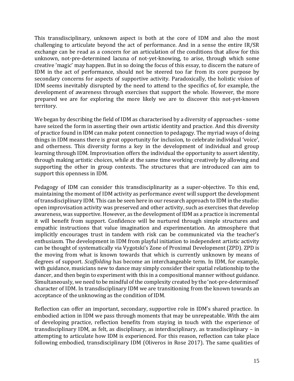This transdisciplinary, unknown aspect is both at the core of IDM and also the most challenging to articulate beyond the act of performance. And in a sense the entire IR/SR exchange can be read as a concern for an articulation of the conditions that allow for this unknown, not-pre-determined lacuna of not-yet-knowing, to arise, through which some creative 'magic' may happen. But in so doing the focus of this essay, to discern the nature of IDM in the act of performance, should not be steered too far from its core purpose by secondary concerns for aspects of supportive activity. Paradoxically, the holistic vision of IDM seems inevitably disrupted by the need to attend to the specifics of, for example, the development of awareness through exercises that support the whole. However, the more prepared we are for exploring the more likely we are to discover this not-yet-known territory.

We began by describing the field of IDM as characterised by a diversity of approaches - some have seized the form in asserting their own artistic identity and practice. And this diversity of practice found in IDM can make potent connection to pedagogy. The myriad ways of doing things in IDM means there is great opportunity for inclusion, to celebrate individual 'voice', and otherness. This diversity forms a key in the development of individual and group learning through IDM. Improvisation offers the individual the opportunity to assert identity, through making artistic choices, while at the same time working creatively by allowing and supporting the other in group contexts. The structures that are introduced can aim to support this openness in IDM.

Pedagogy of IDM can consider this transdisciplinarity as a super-objective. To this end, maintaining the moment of IDM activity as performance *event* will support the development of transdisciplinary IDM. This can be seen here in our research approach to IDM in the studio: open improvisation activity was preserved and other activity, such as exercises that develop awareness, was supportive. However, as the development of IDM as a practice is incremental it will benefit from support. Confidence will be nurtured through simple structures and empathic instructions that value imagination and experimentation. An atmosphere that implicitly encourages trust in tandem with risk can be communicated via the teacher's enthusiasm. The development in IDM from playful initiation to independent artistic activity can be thought of systematically via Vygotski's Zone of Proximal Development (ZPD). ZPD is the moving from what is known towards that which is currently unknown by means of degrees of support. *Scaffolding* has become an interchangeable term. In IDM, for example, with guidance, musicians new to dance may simply consider their spatial relationship to the dancer, and then begin to experiment with this in a compositional manner without guidance. Simultaneously, we need to be mindful of the complexity created by the 'not-pre-determined' character of IDM. In transdisciplinary IDM we are transitioning from the known towards an acceptance of the unknowing as the condition of IDM.

Reflection can offer an important, secondary, supportive role in IDM's shared practice. In embodied action in IDM we pass through moments that may be unrepeatable. With the aim of developing practice, reflection benefits from staying in touch with the experience of transdisciplinary IDM, as felt, as disciplinary, as interdisciplinary, as transdisciplinary – in attempting to articulate how IDM is experienced. For this reason, reflection can take place following embodied, transdisciplinary IDM (Oliveros in Rose 2017). The same qualities of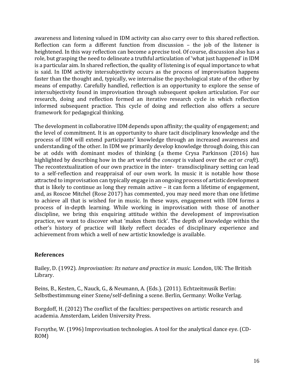awareness and listening valued in IDM activity can also carry over to this shared reflection. Reflection can form a different function from discussion – the job of the listener is heightened. In this way reflection can become a precise tool. Of course, discussion also has a role, but grasping the need to delineate a truthful articulation of 'what just happened' in IDM is a particular aim. In shared reflection, the quality of listening is of equal importance to what is said. In IDM activity intersubjectivity occurs as the process of improvisation happens faster than the thought and, typically, we internalise the psychological state of the other by means of empathy. Carefully handled, reflection is an opportunity to explore the sense of intersubjectivity found in improvisation through subsequent spoken articulation. For our research, doing and reflection formed an iterative research cycle in which reflection informed subsequent practice. This cycle of doing and reflection also offers a secure framework for pedagogical thinking.

The development in collaborative IDM depends upon affinity; the quality of engagement; and the level of commitment. It is an opportunity to share tacit disciplinary knowledge and the process of IDM will extend participants' knowledge through an increased awareness and understanding of the other. In IDM we primarily develop knowledge through doing, this can be at odds with dominant modes of thinking (a theme Crysa Parkinson (2016) has highlighted by describing how in the art world the *concept* is valued over the *act* or *craft*). The recontextualization of our own practice in the inter- transdisciplinary setting can lead to a self-reflection and reappraisal of our own work. In music it is notable how those attracted to improvisation can typically engage in an ongoing process of artistic development that is likely to continue as long they remain active – it can form a lifetime of engagement, and, as Roscoe Mitchel (Rose 2017) has commented, you may need more than one lifetime to achieve all that is wished for in music. In these ways, engagement with IDM forms a process of in-depth learning. While working in improvisation with those of another discipline, we bring this enquiring attitude within the development of improvisation practice, we want to discover what 'makes them tick'. The depth of knowledge within the other's history of practice will likely reflect decades of disciplinary experience and achievement from which a well of new artistic knowledge is available.

## **References**

Bailey, D. (1992). *Improvisation: Its nature and practice in music.* London, UK: The British Library.

Beins, B., Kesten, C., Nauck, G., & Neumann, A. (Eds.). (2011). Echtzeitmusik Berlin: Selbstbestimmung einer Szene/self-defining a scene. Berlin, Germany: Wolke Verlag.

Borgdoff, H. (2012) The conflict of the faculties: perspectives on artistic research and academia. Amsterdam, Leiden University Press.

Forsythe, W. (1996) Improvisation technologies. A tool for the analytical dance eye. (CD-ROM)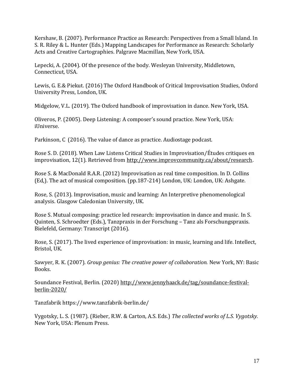Kershaw, B. (2007). Performance Practice as Research: Perspectives from a Small Island. In S. R. Riley & L. Hunter (Eds.) Mapping Landscapes for Performance as Research: Scholarly Acts and Creative Cartographies. Palgrave Macmillan, New York, USA.

Lepecki, A. (2004). Of the presence of the body. Wesleyan University, Middletown, Connecticut, USA.

Lewis, G. E.& Piekut. (2016) The Oxford Handbook of Critical Improvisation Studies, Oxford University Press, London, UK.

Midgelow, V.L. (2019). The Oxford handbook of improvisation in dance. New York, USA.

Oliveros, P. (2005). Deep Listening: A composer's sound practice. New York, USA: iUniverse.

Parkinson, C (2016). The value of dance as practice. Audiostage podcast.

Rose S. D. (2018). When Law Listens Critical Studies in Improvisation/Études critiques en improvisation, 12(1). Retrieved from [http://www.improvcommunity.ca/about/research.](http://www.improvcommunity.ca/about/research)

[Rose S. & MacDonald R.A.R. \(2012\) Improvi](http://www.improvcommunity.ca/about/research)sation as real time composition. In D. Collins (Ed,). The act of musical composition. (pp.187-214) London, UK: London, UK: Ashgate.

Rose, S. (2013). Improvisation, music and learning: An Interpretive phenomenological analysis. Glasgow Caledonian University, UK.

Rose S. Mutual composing: practice led research: improvisation in dance and music. In S. Quinten, S. Schroedter (Eds.), Tanzpraxis in der Forschung – Tanz als Forschungspraxis. Bielefeld, Germany: Transcript (2016).

Rose, S. (2017). The lived experience of improvisation: in music, learning and life. Intellect, Bristol, UK.

Sawyer, R. K. (2007). *Group genius: The creative power of collaboration.* New York, NY: Basic Books.

Soundance Festival, Berlin. (2020[\) http://www.jennyhaack.de/tag/soundance-festival](http://www.jennyhaack.de/tag/soundance-festival-berlin-2020/)[berlin-2020/](http://www.jennyhaack.de/tag/soundance-festival-berlin-2020/)

[Tanzfabrik https://www.tanzfabrik-berlin.de/](http://www.jennyhaack.de/tag/soundance-festival-berlin-2020/)

[Vygotsky, L. S](http://www.jennyhaack.de/tag/soundance-festival-berlin-2020/). (1987). (Rieber, R.W. & Carton, A.S. Eds.) *The collected works of L.S. Vygotsky.*  New York, USA: Plenum Press.